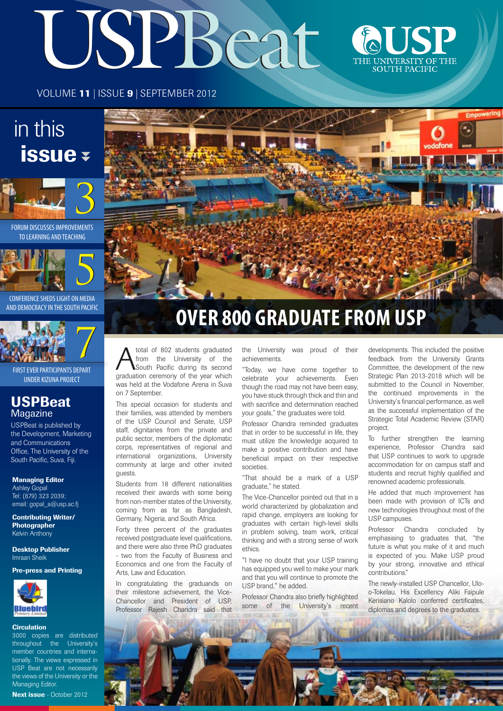# USPBeat &USP



VOLUME 11 | ISSUE 9 | SEPTEMBER 2012

# in this issue



FORUM DISCUSSES IMPROVEMENTS TO LEARNING AND TEACHING



CONFERENCE SHEDS LIGHT ON MEDIA AND DEMOCRACY IN THE SOUTH PACIFIC



FIRST EVER PARTICIPANTS DEPART UNDER KIZUNA PROJECT

#### **USPBeat Magazine**

USPBeat is published by the Development, Marketing and Communications Office, The University of the South Pacific, Suva, Fiii.

#### Managing Editor

Ashley Gopal Tel: (679) 323 2039; email: gopal\_a@usp.ac.fj

Contributing Writer/ Photographer Kelvin Anthony

Desktop Publisher Imraan Sheik

Pre-press and Printing



#### **Circulation**

3000 copies are distributed throughout the University's member countries and internationally. The views expressed in USP Beat are not necessarily the views of the University or the Managing Editor.



The Maria Corporation of 802 students graduated<br>
Trom the University of the Second<br>
The Corporation critical dring its second<br>
Second Corporation critical and the very which from the University of the South Pacific during its second graduation ceremony of the year which was held at the Vodafone Arena in Suva on 7 September.

> This special occasion for students and their families, was attended by members of the USP Council and Senate, USP staff, dignitaries from the private and public sector, members of the diplomatic corps, representatives of regional and international organizations, University community at large and other invited guests.

Students from 18 different nationalities received their awards with some being from non-member states of the University, coming from as far as Bangladesh, Germany, Nigeria, and South Africa.

Forty three percent of the graduates received postgraduate level qualifications, and there were also three PhD graduates - two from the Faculty of Business and Economics and one from the Faculty of Arts, Law and Education.

In congratulating the graduands on their milestone achievement, the Vice-Chancellor and President of USP, Professor Rajesh Chandra said that

the University was proud of their achievements.

"Today, we have come together to celebrate your achievements. Even though the road may not have been easy, you have stuck through thick and thin and with sacrifice and determination reached your goals," the graduates were told.

Professor Chandra reminded graduates that in order to be successful in life, they must utilize the knowledge acquired to make a positive contribution and have beneficial impact on their respective societies.

"That should be a mark of a USP graduate," he stated.

The Vice-Chancellor pointed out that in a world characterized by globalization and rapid change, employers are looking for graduates with certain high-level skills in problem solving, team work, critical thinking and with a strong sense of work ethics.

"I have no doubt that your USP training has equipped you well to make your mark and that you will continue to promote the USP brand," he added.

Professor Chandra also briefly highlighted some of the University's recent

developments. This included the positive feedback from the University Grants Committee, the development of the new Strategic Plan 2013-2018 which will be submitted to the Council in November. the continued improvements in the University's financial performance, as well as the successful implementation of the Strategic Total Academic Review (STAR) project.

To further strengthen the learning experience, Professor Chandra said that USP continues to work to upgrade accommodation for on campus staff and students and recruit highly qualified and renowned academic professionals.

He added that much improvement has been made with provision of ICTs and new technologies throughout most of the USP campuses.

Professor Chandra concluded by emphasising to graduates that, "the future is what you make of it and much is expected of you. Make USP proud by your strong, innovative and ethical contributions."

The newly-installed USP Chancellor, Uloo-Tokelau, His Excellency Aliki Faipule Kerisiano Kalolo conferred certificates, diplomas and degrees to the graduates.

**VERSEBRE STATE** 

**WILL PHILES STATES**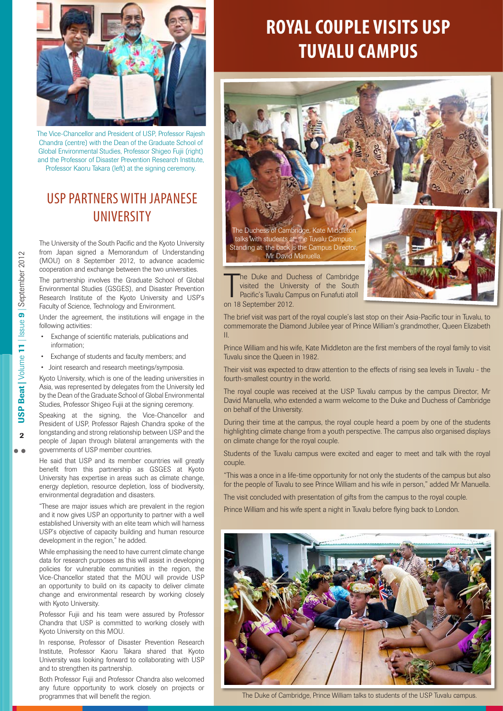

The Vice-Chancellor and President of USP, Professor Rajesh Chandra (centre) with the Dean of the Graduate School of Global Environmental Studies, Professor Shigeo Fujii (right) and the Professor of Disaster Prevention Research Institute, Professor Kaoru Takara (left) at the signing ceremony.

#### USP partners with Japanese **UNIVERSITY**

The University of the South Pacific and the Kyoto University from Japan signed a Memorandum of Understanding (MOU) on 8 September 2012, to advance academic cooperation and exchange between the two universities.

The partnership involves the Graduate School of Global Environmental Studies (GSGES), and Disaster Prevention Research Institute of the Kyoto University and USP's Faculty of Science, Technology and Environment.

Under the agreement, the institutions will engage in the following activities:

- Exchange of scientific materials, publications and information;
- Exchange of students and faculty members; and
- Joint research and research meetings/symposia.

Kyoto University, which is one of the leading universities in Asia, was represented by delegates from the University led by the Dean of the Graduate School of Global Environmental Studies, Professor Shigeo Fujii at the signing ceremony.

Speaking at the signing, the Vice-Chancellor and President of USP, Professor Rajesh Chandra spoke of the longstanding and strong relationship between USP and the people of Japan through bilateral arrangements with the governments of USP member countries.

He said that USP and its member countries will greatly benefit from this partnership as GSGES at Kyoto University has expertise in areas such as climate change, energy depletion, resource depletion, loss of biodiversity, environmental degradation and disasters.

"These are major issues which are prevalent in the region and it now gives USP an opportunity to partner with a well established University with an elite team which will harness USP's objective of capacity building and human resource development in the region," he added.

While emphasising the need to have current climate change data for research purposes as this will assist in developing policies for vulnerable communities in the region, the Vice-Chancellor stated that the MOU will provide USP an opportunity to build on its capacity to deliver climate change and environmental research by working closely with Kyoto University.

Professor Fujii and his team were assured by Professor Chandra that USP is committed to working closely with Kyoto University on this MOU.

In response, Professor of Disaster Prevention Research Institute, Professor Kaoru Takara shared that Kyoto University was looking forward to collaborating with USP and to strengthen its partnership.

Both Professor Fujii and Professor Chandra also welcomed any future opportunity to work closely on projects or programmes that will benefit the region.

#### **Royal Couple visits USP Tuvalu Campus**

The Duchess of Cambridge, Kate Middleton talks with students at the Tuvalu Campus. Standing at the back is the Campus Director **Mr David Manuella** 



The Duke and Duisited the University<br>Pacific's Tuvalu Ca<br>on 18 September 2012. he Duke and Duchess of Cambridge visited the University of the South Pacific's Tuvalu Campus on Funafuti atoll

The brief visit was part of the royal couple's last stop on their Asia-Pacific tour in Tuvalu, to commemorate the Diamond Jubilee year of Prince William's grandmother, Queen Elizabeth II.

Prince William and his wife, Kate Middleton are the first members of the royal family to visit Tuvalu since the Queen in 1982.

Their visit was expected to draw attention to the effects of rising sea levels in Tuvalu - the fourth-smallest country in the world.

The royal couple was received at the USP Tuvalu campus by the campus Director, Mr David Manuella, who extended a warm welcome to the Duke and Duchess of Cambridge on behalf of the University.

During their time at the campus, the royal couple heard a poem by one of the students highlighting climate change from a youth perspective. The campus also organised displays on climate change for the royal couple.

Students of the Tuvalu campus were excited and eager to meet and talk with the royal couple.

"This was a once in a life-time opportunity for not only the students of the campus but also for the people of Tuvalu to see Prince William and his wife in person," added Mr Manuella.

The visit concluded with presentation of gifts from the campus to the royal couple.

Prince William and his wife spent a night in Tuvalu before flying back to London.



The Duke of Cambridge, Prince William talks to students of the USP Tuvalu campus.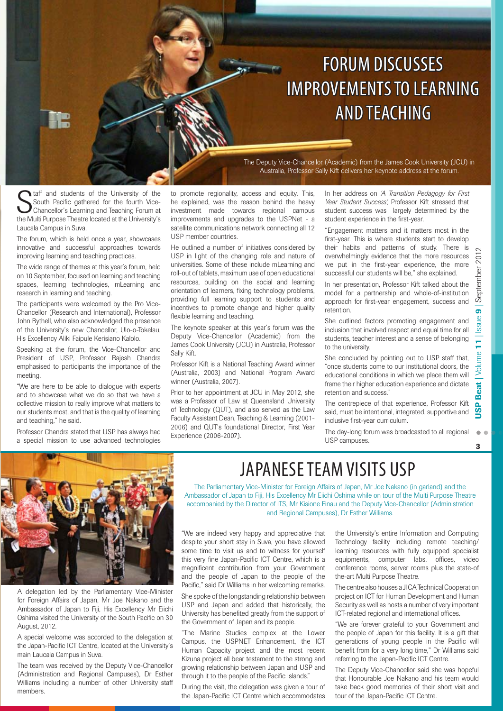## Forum discusses **IMPROVEMENTS TO LEARNING** and teaching

The Deputy Vice-Chancellor (Academic) from the James Cook University (JCU) in Australia, Professor Sally Kift delivers her keynote address at the forum.

**S** taff and students of the University of the South Pacific gathered for the fourth Vice-Chancellor's Learning and Teaching Forum at the Multi Purpose Theatre located at the University's taff and students of the University of the South Pacific gathered for the fourth Vice-Chancellor's Learning and Teaching Forum at Laucala Campus in Suva.

The forum, which is held once a year, showcases innovative and successful approaches towards improving learning and teaching practices.

The wide range of themes at this year's forum, held on 10 September, focused on learning and teaching spaces, learning technologies, mLearning and research in learning and teaching.

The participants were welcomed by the Pro Vice-Chancellor (Research and International), Professor John Bythell, who also acknowledged the presence of the University's new Chancellor, Ulo-o-Tokelau, His Excellency Aliki Faipule Kerisiano Kalolo.

Speaking at the forum, the Vice-Chancellor and President of USP, Professor Rajesh Chandra emphasised to participants the importance of the meeting.

"We are here to be able to dialogue with experts and to showcase what we do so that we have a collective mission to really improve what matters to our students most, and that is the quality of learning and teaching," he said.

Professor Chandra stated that USP has always had a special mission to use advanced technologies

to promote regionality, access and equity. This, he explained, was the reason behind the heavy investment made towards regional campus improvements and upgrades to the USPNet - a satellite communications network connecting all 12 USP member countries.

He outlined a number of initiatives considered by USP in light of the changing role and nature of universities. Some of these include mLearning and roll-out of tablets, maximum use of open educational resources, building on the social and learning orientation of learners, fixing technology problems, providing full learning support to students and incentives to promote change and higher quality flexible learning and teaching.

The keynote speaker at this year's forum was the Deputy Vice-Chancellor (Academic) from the James Cook University (JCU) in Australia, Professor Sally Kift.

Professor Kift is a National Teaching Award winner (Australia, 2003) and National Program Award winner (Australia, 2007).

Prior to her appointment at JCU in May 2012, she was a Professor of Law at Queensland University of Technology (QUT), and also served as the Law Faculty Assistant Dean, Teaching & Learning (2001- 2006) and QUT's foundational Director, First Year Experience (2006-2007).

In her address on *'A Transition Pedagogy for First Year Student Success',* Professor Kift stressed that student success was largely determined by the student experience in the first-year.

"Engagement matters and it matters most in the first-year. This is where students start to develop their habits and patterns of study. There is overwhelmingly evidence that the more resources we put in the first-year experience, the more successful our students will be," she explained.

In her presentation, Professor Kift talked about the model for a partnership and whole-of-institution approach for first-year engagement, success and retention.

She outlined factors promoting engagement and inclusion that involved respect and equal time for all students, teacher interest and a sense of belonging to the university.

She concluded by pointing out to USP staff that, "once students come to our institutional doors, the educational conditions in which we place them will frame their higher education experience and dictate retention and success."

The centrepiece of that experience, Professor Kift said, must be intentional, integrated, supportive and inclusive first-year curriculum.

The day-long forum was broadcasted to all regional USP campuses.

 $\mathbf{R}$ 



A delegation led by the Parliamentary Vice-Minister for Foreign Affairs of Japan, Mr Joe Nakano and the Ambassador of Japan to Fiji, His Excellency Mr Eiichi Oshima visited the University of the South Pacific on 30 August, 2012.

A special welcome was accorded to the delegation at the Japan-Pacific ICT Centre, located at the University's main Laucala Campus in Suva.

The team was received by the Deputy Vice-Chancellor (Administration and Regional Campuses), Dr Esther Williams including a number of other University staff members.

#### JAPANESE TEAM VISITS USP

The Parliamentary Vice-Minister for Foreign Affairs of Japan, Mr Joe Nakano (in garland) and the Ambassador of Japan to Fiji, His Excellency Mr Eiichi Oshima while on tour of the Multi Purpose Theatre accompanied by the Director of ITS, Mr Kisione Finau and the Deputy Vice-Chancellor (Administration and Regional Campuses), Dr Esther Williams.

"We are indeed very happy and appreciative that despite your short stay in Suva, you have allowed some time to visit us and to witness for yourself this very fine Japan-Pacific ICT Centre, which is a magnificent contribution from your Government and the people of Japan to the people of the Pacific," said Dr Williams in her welcoming remarks.

She spoke of the longstanding relationship between USP and Japan and added that historically, the University has benefited greatly from the support of the Government of Japan and its people.

"The Marine Studies complex at the Lower Campus, the USPNET Enhancement, the ICT Human Capacity project and the most recent Kizuna project all bear testament to the strong and growing relationship between Japan and USP and through it to the people of the Pacific Islands."

During the visit, the delegation was given a tour of the Japan-Pacific ICT Centre which accommodates

the University's entire Information and Computing Technology facility including remote teaching/ learning resources with fully equipped specialist equipments, computer labs, offices, video conference rooms, server rooms plus the state-of the-art Multi Purpose Theatre.

The centre also houses a JICA Technical Cooperation project on ICT for Human Development and Human Security as well as hosts a number of very important ICT-related regional and international offices.

"We are forever grateful to your Government and the people of Japan for this facility. It is a gift that generations of young people in the Pacific will benefit from for a very long time," Dr Williams said referring to the Japan-Pacific ICT Centre.

The Deputy Vice-Chancellor said she was hopeful that Honourable Joe Nakano and his team would take back good memories of their short visit and tour of the Japan-Pacific ICT Centre.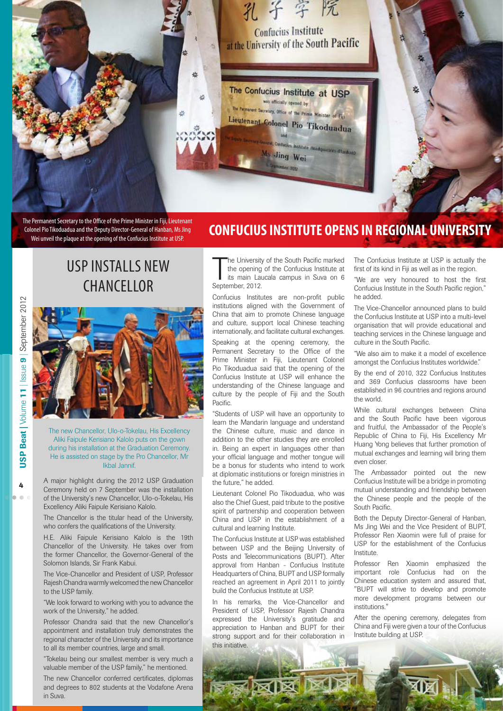

The Permanent Secretary to the Office of the Prime Minister in Fiji, Lieutenant Colonel Pio Tikoduadua and the Deputy Director-General of Hanban, Ms Jing Wei unveil the plaque at the opening of the Confucius Institute at USP.

#### **CONFUCIUS INSTITUTE OPENS IN REGIONAL UNIVERSITY**

USP installs new **CHANCELLOR** 



The new Chancellor, Ulo-o-Tokelau, His Excellency Aliki Faipule Kerisiano Kalolo puts on the gown during his installation at the Graduation Ceremony. He is assisted on stage by the Pro Chancellor, Mr Ikbal Jannif.

A major highlight during the 2012 USP Graduation Ceremony held on 7 September was the installation of the University's new Chancellor, Ulo-o-Tokelau, His Excellency Aliki Faipule Kerisiano Kalolo.

The Chancellor is the titular head of the University, who confers the qualifications of the University.

H.E. Aliki Faipule Kerisiano Kalolo is the 19th Chancellor of the University. He takes over from the former Chancellor, the Governor-General of the Solomon Islands, Sir Frank Kabui.

The Vice-Chancellor and President of USP, Professor Rajesh Chandra warmly welcomed the new Chancellor to the USP family.

"We look forward to working with you to advance the work of the University," he added.

Professor Chandra said that the new Chancellor's appointment and installation truly demonstrates the regional character of the University and its importance to all its member countries, large and small.

"Tokelau being our smallest member is very much a valuable member of the USP family," he mentioned.

The new Chancellor conferred certificates, diplomas and degrees to 802 students at the Vodafone Arena in Suva.

The University<br>the opening<br>its main Lat<br>September, 2012. he University of the South Pacific marked the opening of the Confucius Institute at its main Laucala campus in Suva on 6

Confucius Institutes are non-profit public institutions aligned with the Government of China that aim to promote Chinese language and culture, support local Chinese teaching internationally, and facilitate cultural exchanges.

Speaking at the opening ceremony, the Permanent Secretary to the Office of the Prime Minister in Fiji, Lieutenant Colonel Pio Tikoduadua said that the opening of the Confucius Institute at USP will enhance the understanding of the Chinese language and culture by the people of Fiji and the South Pacific.

"Students of USP will have an opportunity to learn the Mandarin language and understand the Chinese culture, music and dance in addition to the other studies they are enrolled in. Being an expert in languages other than your official language and mother tongue will be a bonus for students who intend to work at diplomatic institutions or foreign ministries in the future," he added.

Lieutenant Colonel Pio Tikoduadua, who was also the Chief Guest, paid tribute to the positive spirit of partnership and cooperation between China and USP in the establishment of a cultural and learning Institute.

The Confucius Institute at USP was established between USP and the Beijing University of Posts and Telecommunications (BUPT). After approval from Hanban - Confucius Institute Headquarters of China, BUPT and USP formally reached an agreement in April 2011 to jointly build the Confucius Institute at USP.

In his remarks, the Vice-Chancellor and President of USP, Professor Rajesh Chandra expressed the University's gratitude and appreciation to Hanban and BUPT for their strong support and for their collaboration in this initiative.

The Confucius Institute at USP is actually the first of its kind in Fiji as well as in the region.

"We are very honoured to host the first Confucius Institute in the South Pacific region," he added.

The Vice-Chancellor announced plans to build the Confucius Institute at USP into a multi-level organisation that will provide educational and teaching services in the Chinese language and culture in the South Pacific.

"We also aim to make it a model of excellence amongst the Confucius Institutes worldwide."

By the end of 2010, 322 Confucius Institutes and 369 Confucius classrooms have been established in 96 countries and regions around the world.

While cultural exchanges between China and the South Pacific have been vigorous and fruitful, the Ambassador of the People's Republic of China to Fiji, His Excellency Mr Huang Yong believes that further promotion of mutual exchanges and learning will bring them even closer.

The Ambassador pointed out the new Confucius Institute will be a bridge in promoting mutual understanding and friendship between the Chinese people and the people of the South Pacific.

Both the Deputy Director-General of Hanban, Ms Jing Wei and the Vice President of BUPT, Professor Ren Xiaomin were full of praise for USP for the establishment of the Confucius Institute.

Professor Ren Xiaomin emphasized the important role Confucius had on the Chinese education system and assured that, "BUPT will strive to develop and promote more development programs between our institutions."

After the opening ceremony, delegates from China and Fiji were given a tour of the Confucius Institute building at USP.



4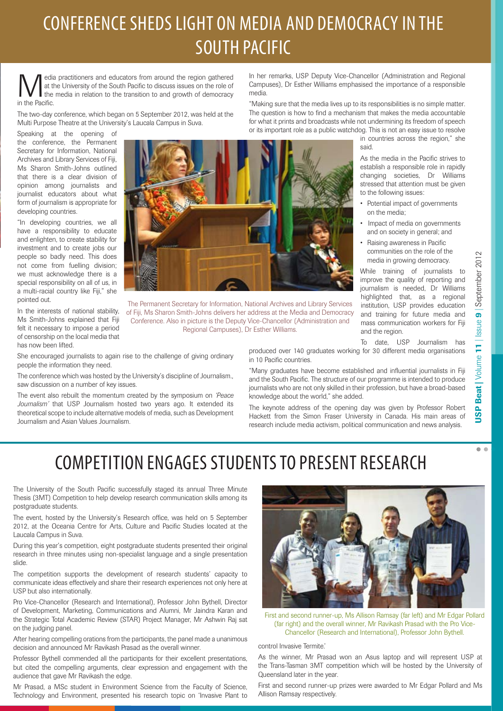## CONFERENCE SHEDS LIGHT ON MEDIA AND DEMOCRACY IN THE South Pacific

Media practitioners and educators from around the region gathered<br>at the University of the South Pacific to discuss issues on the role of<br>the media in relation to the transition to and growth of democracy<br>in the Pacific at the University of the South Pacific to discuss issues on the role of the media in relation to the transition to and growth of democracy in the Pacific.

The two-day conference, which began on 5 September 2012, was held at the Multi Purpose Theatre at the University's Laucala Campus in Suva.

Speaking at the opening of the conference, the Permanent Secretary for Information, National Archives and Library Services of Fiji, Ms Sharon Smith-Johns outlined that there is a clear division of opinion among journalists and journalist educators about what form of journalism is appropriate for developing countries.

"In developing countries, we all have a responsibility to educate and enlighten, to create stability for investment and to create jobs our people so badly need. This does not come from fuelling division; we must acknowledge there is a special responsibility on all of us, in a multi-racial country like Fiji," she pointed out.

In the interests of national stability, Ms Smith-Johns explained that Fiji felt it necessary to impose a period of censorship on the local media that has now been lifted.



The Permanent Secretary for Information, National Archives and Library Services of Fiji, Ms Sharon Smith-Johns delivers her address at the Media and Democracy Conference. Also in picture is the Deputy Vice-Chancellor (Administration and Regional Campuses), Dr Esther Williams.

She encouraged journalists to again rise to the challenge of giving ordinary people the information they need.

The conference which was hosted by the University's discipline of Journalism., saw discussion on a number of key issues.

The event also rebuilt the momentum created by the symposium on *'Peace Journalism'* that USP Journalism hosted two years ago. It extended its theoretical scope to include alternative models of media, such as Development Journalism and Asian Values Journalism.

In her remarks, USP Deputy Vice-Chancellor (Administration and Regional Campuses), Dr Esther Williams emphasised the importance of a responsible media.

"Making sure that the media lives up to its responsibilities is no simple matter. The question is how to find a mechanism that makes the media accountable for what it prints and broadcasts while not undermining its freedom of speech or its important role as a public watchdog. This is not an easy issue to resolve

in countries across the region," she said.

As the media in the Pacific strives to establish a responsible role in rapidly changing societies, Dr Williams stressed that attention must be given to the following issues:

- Potential impact of governments on the media;
- Impact of media on governments and on society in general; and
- Raising awareness in Pacific communities on the role of the media in growing democracy.

While training of journalists to improve the quality of reporting and journalism is needed, Dr Williams highlighted that, as a regional institution, USP provides education and training for future media and mass communication workers for Fiji and the region.

To date, USP Journalism has produced over 140 graduates working for 30 different media organisations

in 10 Pacific countries. "Many graduates have become established and influential journalists in Fiji and the South Pacific. The structure of our programme is intended to produce

journalists who are not only skilled in their profession, but have a broad-based

knowledge about the world," she added. The keynote address of the opening day was given by Professor Robert Hackett from the Simon Fraser University in Canada. His main areas of research include media activism, political communication and news analysis.

 $\sim$   $\sim$ 

## COMPETITION ENGAGES STUDENTS TO PRESENT RESEARCH

The University of the South Pacific successfully staged its annual Three Minute Thesis (3MT) Competition to help develop research communication skills among its postgraduate students.

The event, hosted by the University's Research office, was held on 5 September 2012, at the Oceania Centre for Arts, Culture and Pacific Studies located at the Laucala Campus in Suva.

During this year's competition, eight postgraduate students presented their original research in three minutes using non-specialist language and a single presentation slide.

The competition supports the development of research students' capacity to communicate ideas effectively and share their research experiences not only here at USP but also internationally.

Pro Vice-Chancellor (Research and International), Professor John Bythell, Director of Development, Marketing, Communications and Alumni, Mr Jaindra Karan and the Strategic Total Academic Review (STAR) Project Manager, Mr Ashwin Raj sat on the judging panel.

After hearing compelling orations from the participants, the panel made a unanimous decision and announced Mr Ravikash Prasad as the overall winner.

Professor Bythell commended all the participants for their excellent presentations, but cited the compelling arguments, clear expression and engagement with the audience that gave Mr Ravikash the edge.

Mr Prasad, a MSc student in Environment Science from the Faculty of Science, Technology and Environment, presented his research topic on 'Invasive Plant to



First and second runner-up, Ms Allison Ramsay (far left) and Mr Edgar Pollard (far right) and the overall winner, Mr Ravikash Prasad with the Pro Vice-Chancellor (Research and International), Professor John Bythell.

#### control Invasive Termite.'

As the winner, Mr Prasad won an Asus laptop and will represent USP at the Trans-Tasman 3MT competition which will be hosted by the University of Queensland later in the year.

First and second runner-up prizes were awarded to Mr Edgar Pollard and Ms Allison Ramsay respectively.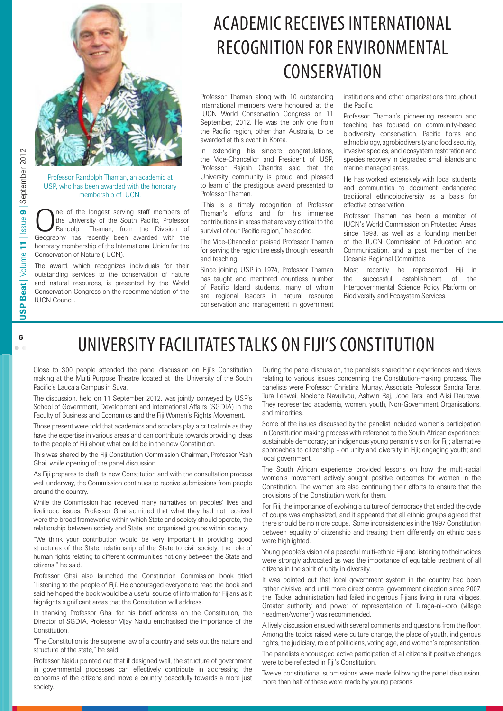

Professor Randolph Thaman, an academic at USP, who has been awarded with the honorary membership of IUCN.

One of the longest serving staff members of<br>
Randolph Thaman, from the Division of<br>
Geography has recently been awarded with the the University of the South Pacific, Professor Geography has recently been awarded with the honorary membership of the International Union for the Conservation of Nature (IUCN).

The award, which recognizes individuals for their outstanding services to the conservation of nature and natural resources, is presented by the World Conservation Congress on the recommendation of the IUCN Council.

## ACADEMIC RECEIVES INTERNATIONAL recognition for environmental **CONSERVATION**

Professor Thaman along with 10 outstanding international members were honoured at the IUCN World Conservation Congress on 11 September, 2012. He was the only one from the Pacific region, other than Australia, to be awarded at this event in Korea.

In extending his sincere congratulations, the Vice-Chancellor and President of USP, Professor Rajesh Chandra said that the University community is proud and pleased to learn of the prestigious award presented to Professor Thaman.

"This is a timely recognition of Professor Thaman's efforts and for his immense contributions in areas that are very critical to the survival of our Pacific region," he added.

The Vice-Chancellor praised Professor Thaman for serving the region tirelessly through research and teaching.

Since joining USP in 1974, Professor Thaman has taught and mentored countless number of Pacific Island students, many of whom are regional leaders in natural resource conservation and management in government institutions and other organizations throughout the Pacific.

Professor Thaman's pioneering research and teaching has focused on community-based biodiversity conservation, Pacific floras and ethnobiology, agrobiodiversity and food security, invasive species, and ecosystem restoration and species recovery in degraded small islands and marine managed areas.

He has worked extensively with local students and communities to document endangered traditional ethnobiodiversity as a basis for effective conservation.

Professor Thaman has been a member of IUCN's World Commission on Protected Areas since 1998, as well as a founding member of the IUCN Commission of Education and Communication, and a past member of the Oceania Regional Committee.

Most recently he represented Fiji in the successful establishment of the Intergovernmental Science Policy Platform on Biodiversity and Ecosystem Services.

#### University FACILITATES talks on Fiji's Constitution

Close to 300 people attended the panel discussion on Fiji's Constitution making at the Multi Purpose Theatre located at the University of the South Pacific's Laucala Campus in Suva.

The discussion, held on 11 September 2012, was jointly conveyed by USP's School of Government, Development and International Affairs (SGDIA) in the Faculty of Business and Economics and the Fiji Women's Rights Movement.

Those present were told that academics and scholars play a critical role as they have the expertise in various areas and can contribute towards providing ideas to the people of Fiji about what could be in the new Constitution.

This was shared by the Fiji Constitution Commission Chairman, Professor Yash Ghai, while opening of the panel discussion.

As Fiji prepares to draft its new Constitution and with the consultation process well underway, the Commission continues to receive submissions from people around the country.

While the Commission had received many narratives on peoples' lives and livelihood issues, Professor Ghai admitted that what they had not received were the broad frameworks within which State and society should operate, the relationship between society and State, and organised groups within society.

"We think your contribution would be very important in providing good structures of the State, relationship of the State to civil society, the role of human rights relating to different communities not only between the State and citizens," he said.

Professor Ghai also launched the Constitution Commission book titled 'Listening to the people of Fiji'. He encouraged everyone to read the book and said he hoped the book would be a useful source of information for Fijians as it highlights significant areas that the Constitution will address.

In thanking Professor Ghai for his brief address on the Constitution, the Director of SGDIA, Professor Vijay Naidu emphasised the importance of the Constitution.

"The Constitution is the supreme law of a country and sets out the nature and structure of the state," he said.

Professor Naidu pointed out that if designed well, the structure of government in governmental processes can effectively contribute in addressing the concerns of the citizens and move a country peacefully towards a more just society.

During the panel discussion, the panelists shared their experiences and views relating to various issues concerning the Constitution-making process. The panelists were Professor Christina Murray, Associate Professor Sandra Tarte, Tura Leewai, Noelene Navulivou, Ashwin Raj, Jope Tarai and Alisi Daurewa. They represented academia, women, youth, Non-Government Organisations, and minorities.

Some of the issues discussed by the panelist included women's participation in Constitution making process with reference to the South African experience; sustainable democracy; an indigenous young person's vision for Fiji; alternative approaches to citizenship - on unity and diversity in Fiji; engaging youth; and local government.

The South African experience provided lessons on how the multi-racial women's movement actively sought positive outcomes for women in the Constitution. The women are also continuing their efforts to ensure that the provisions of the Constitution work for them.

For Fiji, the importance of evolving a culture of democracy that ended the cycle of coups was emphasized, and it appeared that all ethnic groups agreed that there should be no more coups. Some inconsistencies in the 1997 Constitution between equality of citizenship and treating them differently on ethnic basis were highlighted.

Young people's vision of a peaceful multi-ethnic Fiji and listening to their voices were strongly advocated as was the importance of equitable treatment of all citizens in the spirit of unity in diversity.

It was pointed out that local government system in the country had been rather divisive, and until more direct central government direction since 2007, the iTaukei administration had failed indigenous Fijians living in rural villages. Greater authority and power of representation of Turaga-ni-koro (village headmen/women) was recommended.

A lively discussion ensued with several comments and questions from the floor. Among the topics raised were culture change, the place of youth, indigenous rights, the judiciary, role of politicians, voting age, and women's representation. The panelists encouraged active participation of all citizens if positive changes were to be reflected in Fiji's Constitution.

Twelve constitutional submissions were made following the panel discussion, more than half of these were made by young persons.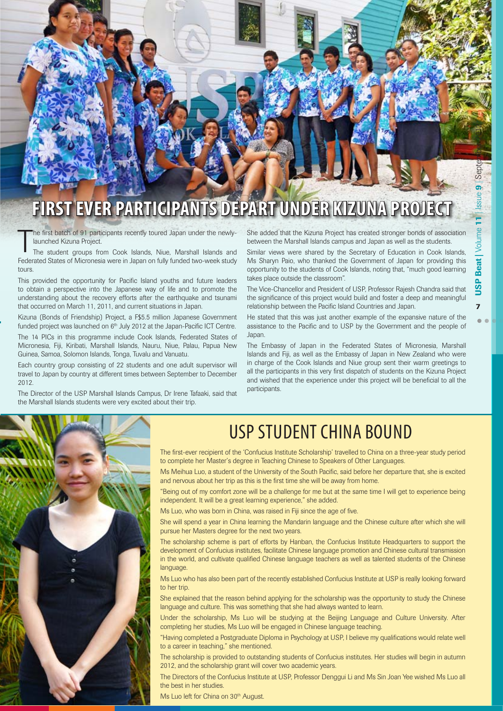Sept ၜ

7

## **First ever participants depart under Kizuna Project**

he first batch of 91 participants recently toured Japan under the newlylaunched Kizuna Project.

T The student groups from Cook Islands, Niue, Marshall Islands and Federated States of Micronesia were in Japan on fully funded two-week study tours.

This provided the opportunity for Pacific Island youths and future leaders to obtain a perspective into the Japanese way of life and to promote the understanding about the recovery efforts after the earthquake and tsunami that occurred on March 11, 2011, and current situations in Japan.

Kizuna (Bonds of Friendship) Project, a F\$5.5 million Japanese Government funded project was launched on  $6<sup>th</sup>$  July 2012 at the Japan-Pacific ICT Centre.

The 14 PICs in this programme include Cook Islands, Federated States of Micronesia, Fiji, Kiribati, Marshall Islands, Nauru, Niue, Palau, Papua New Guinea, Samoa, Solomon Islands, Tonga, Tuvalu and Vanuatu.

Each country group consisting of 22 students and one adult supervisor will travel to Japan by country at different times between September to December 2012.

The Director of the USP Marshall Islands Campus, Dr Irene Tafaaki, said that the Marshall Islands students were very excited about their trip.

She added that the Kizuna Project has created stronger bonds of association between the Marshall Islands campus and Japan as well as the students.

Similar views were shared by the Secretary of Education in Cook Islands, Ms Sharyn Paio, who thanked the Government of Japan for providing this opportunity to the students of Cook Islands, noting that, "much good learning takes place outside the classroom".

The Vice-Chancellor and President of USP, Professor Rajesh Chandra said that the significance of this project would build and foster a deep and meaningful relationship between the Pacific Island Countries and Japan.

He stated that this was just another example of the expansive nature of the assistance to the Pacific and to USP by the Government and the people of Japan.

The Embassy of Japan in the Federated States of Micronesia, Marshall Islands and Fiji, as well as the Embassy of Japan in New Zealand who were in charge of the Cook Islands and Niue group sent their warm greetings to all the participants in this very first dispatch of students on the Kizuna Project and wished that the experience under this project will be beneficial to all the participants.



#### USP student China bound

The first-ever recipient of the 'Confucius Institute Scholarship' travelled to China on a three-year study period to complete her Master's degree in Teaching Chinese to Speakers of Other Languages.

Ms Meihua Luo, a student of the University of the South Pacific, said before her departure that, she is excited and nervous about her trip as this is the first time she will be away from home.

"Being out of my comfort zone will be a challenge for me but at the same time I will get to experience being independent. It will be a great learning experience," she added.

Ms Luo, who was born in China, was raised in Fiji since the age of five.

She will spend a year in China learning the Mandarin language and the Chinese culture after which she will pursue her Masters degree for the next two years.

The scholarship scheme is part of efforts by Hanban, the Confucius Institute Headquarters to support the development of Confucius institutes, facilitate Chinese language promotion and Chinese cultural transmission in the world, and cultivate qualified Chinese language teachers as well as talented students of the Chinese language.

Ms Luo who has also been part of the recently established Confucius Institute at USP is really looking forward to her trip.

She explained that the reason behind applying for the scholarship was the opportunity to study the Chinese language and culture. This was something that she had always wanted to learn.

Under the scholarship, Ms Luo will be studying at the Beijing Language and Culture University. After completing her studies, Ms Luo will be engaged in Chinese language teaching.

"Having completed a Postgraduate Diploma in Psychology at USP, I believe my qualifications would relate well to a career in teaching," she mentioned.

The scholarship is provided to outstanding students of Confucius institutes. Her studies will begin in autumn 2012, and the scholarship grant will cover two academic years.

The Directors of the Confucius Institute at USP, Professor Denggui Li and Ms Sin Joan Yee wished Ms Luo all the best in her studies.

Ms Luo left for China on 30<sup>th</sup> August.